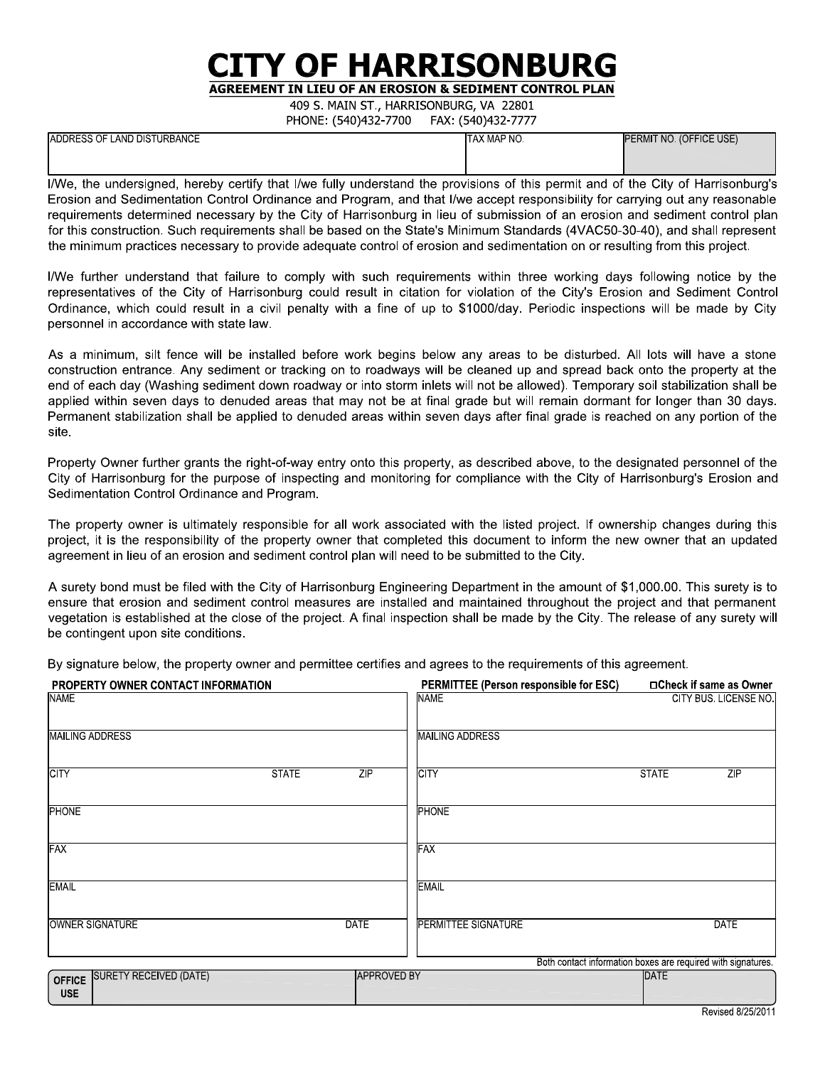## **ITY OF HARRISONBURG**

**AGREEMENT IN LIEU OF AN EROSION & SEDIMENT CONTROL PLAN** 

409 S. MAIN ST., HARRISONBURG, VA 22801 PHONE (540)432-7700 EAV (540)432-7777

|                             | 11011211211217227700 |                         |
|-----------------------------|----------------------|-------------------------|
| ADDRESS OF LAND DISTURBANCE | ITAX MAP NO          | PERMIT NO. (OFFICE USE) |
|                             |                      |                         |

I/We, the undersigned, hereby certify that I/we fully understand the provisions of this permit and of the City of Harrisonburg's Erosion and Sedimentation Control Ordinance and Program, and that I/we accept responsibility for carrying out any reasonable requirements determined necessary by the City of Harrisonburg in lieu of submission of an erosion and sediment control plan for this construction. Such requirements shall be based on the State's Minimum Standards (4VAC50-30-40), and shall represent the minimum practices necessary to provide adequate control of erosion and sedimentation on or resulting from this project.

I/We further understand that failure to comply with such requirements within three working days following notice by the representatives of the City of Harrisonburg could result in citation for violation of the City's Erosion and Sediment Control Ordinance, which could result in a civil penalty with a fine of up to \$1000/day. Periodic inspections will be made by City personnel in accordance with state law.

As a minimum, silt fence will be installed before work begins below any areas to be disturbed. All lots will have a stone construction entrance. Any sediment or tracking on to roadways will be cleaned up and spread back onto the property at the end of each day (Washing sediment down roadway or into storm inlets will not be allowed). Temporary soil stabilization shall be applied within seven days to denuded areas that may not be at final grade but will remain dormant for longer than 30 days. Permanent stabilization shall be applied to denuded areas within seven days after final grade is reached on any portion of the site

Property Owner further grants the right-of-way entry onto this property, as described above, to the designated personnel of the City of Harrisonburg for the purpose of inspecting and monitoring for compliance with the City of Harrisonburg's Erosion and Sedimentation Control Ordinance and Program.

The property owner is ultimately responsible for all work associated with the listed project. If ownership changes during this project, it is the responsibility of the property owner that completed this document to inform the new owner that an updated agreement in lieu of an erosion and sediment control plan will need to be submitted to the City.

A surety bond must be filed with the City of Harrisonburg Engineering Department in the amount of \$1,000,00. This surety is to ensure that erosion and sediment control measures are installed and maintained throughout the project and that permanent vegetation is established at the close of the project. A final inspection shall be made by the City. The release of any surety will be contingent upon site conditions.

By signature below, the property owner and permittee certifies and agrees to the requirements of this agreement.

| <b>PROPERTY OWNER CONTACT INFORMATION</b>                    |                    | PERMITTEE (Person responsible for ESC) | □Check if same as Owner                                      |
|--------------------------------------------------------------|--------------------|----------------------------------------|--------------------------------------------------------------|
| <b>NAME</b>                                                  |                    | <b>NAME</b>                            | CITY BUS LICENSE NO                                          |
| <b>MAILING ADDRESS</b>                                       |                    | <b>MAILING ADDRESS</b>                 |                                                              |
| <b>CITY</b><br><b>STATE</b>                                  | ZIP                | <b>CITY</b>                            | <b>STATE</b><br>ZIP                                          |
| <b>PHONE</b>                                                 |                    | <b>PHONE</b>                           |                                                              |
| FAX                                                          |                    | FAX                                    |                                                              |
| <b>EMAIL</b>                                                 |                    | <b>EMAIL</b>                           |                                                              |
| OWNER SIGNATURE                                              | <b>DATE</b>        | <b>PERMITTEE SIGNATURE</b>             | <b>DATE</b>                                                  |
|                                                              |                    |                                        | Both contact information boxes are required with signatures. |
| <b>SURETY RECEIVED (DATE)</b><br><b>OFFICE</b><br><b>USE</b> | <b>APPROVED BY</b> |                                        | DATE                                                         |